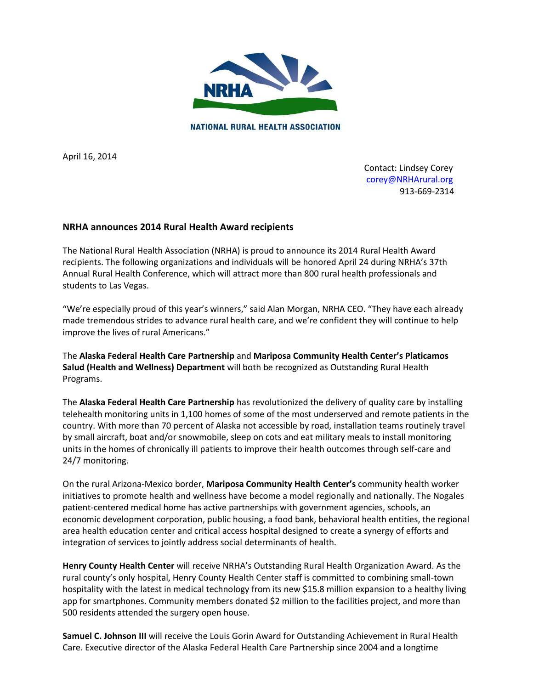

April 16, 2014

 Contact: Lindsey Corey [corey@NRHArural.org](mailto:corey@NRHArural.org) 913-669-2314

## **NRHA announces 2014 Rural Health Award recipients**

The National Rural Health Association (NRHA) is proud to announce its 2014 Rural Health Award recipients. The following organizations and individuals will be honored April 24 during NRHA's 37th Annual Rural Health Conference, which will attract more than 800 rural health professionals and students to Las Vegas.

"We're especially proud of this year's winners," said Alan Morgan, NRHA CEO. "They have each already made tremendous strides to advance rural health care, and we're confident they will continue to help improve the lives of rural Americans."

The **Alaska Federal Health Care Partnership** and **Mariposa Community Health Center's Platicamos Salud (Health and Wellness) Department** will both be recognized as Outstanding Rural Health Programs.

The **Alaska Federal Health Care Partnership** has revolutionized the delivery of quality care by installing telehealth monitoring units in 1,100 homes of some of the most underserved and remote patients in the country. With more than 70 percent of Alaska not accessible by road, installation teams routinely travel by small aircraft, boat and/or snowmobile, sleep on cots and eat military meals to install monitoring units in the homes of chronically ill patients to improve their health outcomes through self-care and 24/7 monitoring.

On the rural Arizona-Mexico border, **Mariposa Community Health Center's** community health worker initiatives to promote health and wellness have become a model regionally and nationally. The Nogales patient-centered medical home has active partnerships with government agencies, schools, an economic development corporation, public housing, a food bank, behavioral health entities, the regional area health education center and critical access hospital designed to create a synergy of efforts and integration of services to jointly address social determinants of health.

**Henry County Health Center** will receive NRHA's Outstanding Rural Health Organization Award. As the rural county's only hospital, Henry County Health Center staff is committed to combining small-town hospitality with the latest in medical technology from its new \$15.8 million expansion to a healthy living app for smartphones. Community members donated \$2 million to the facilities project, and more than 500 residents attended the surgery open house.

**Samuel C. Johnson III** will receive the Louis Gorin Award for Outstanding Achievement in Rural Health Care. Executive director of the Alaska Federal Health Care Partnership since 2004 and a longtime